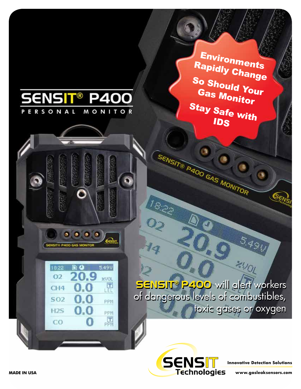

**Innovative Detection Solutions**

**Technologies** 

**www.gasleaksensors.com**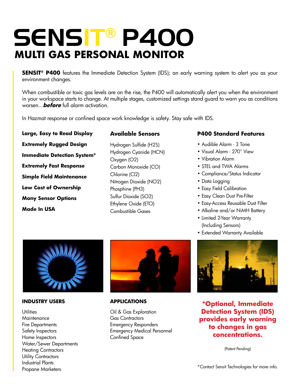# SENSIT® P400 **MULTI gas PERSONAL monitor**

**SENSIT<sup>®</sup> P400** features the Immediate Detection System (IDS); an early warning system to alert you as your environment changes.

When combustible or toxic gas levels are on the rise, the P400 will automatically alert you when the environment in your workspace starts to change. At multiple stages, customized settings stand guard to warn you as conditions worsen...**before** full alarm activation.

In Hazmat response or confined space work knowledge is safety. Stay safe with IDS.

**Large, Easy to Read Display Extremely Rugged Design Immediate Detection System\* Extremely Fast Response Simple Field Maintenance Low Cost of Ownership Many Sensor Options Made In USA**

# **Available Sensors**

Hydrogen Sulfide (H2S) Hydrogen Cyanide (HCN) Oxygen (O2) Carbon Monoxide (CO) Chlorine (Cl2) Nitrogen Dioxide (NO2) Phosphine (PH3) Sulfur Dioxide (SO2) Ethylene Oxide (ETO) Combustible Gases

# **P400 Standard Features**

- Audible Alarm 3 Tone
- Visual Alarm 270° View
- Vibration Alarm
- STEL and TWA Alarms
- Compliance/Status Indicator
- Data Logging
- Easy Field Calibration
- Easy Clean Dust Pre-Filter
- Easy-Access Reusable Dust Filter
- Alkaline and/or NiMH Battery
- Limited 2-Year Warranty (Including Sensors)
- Extended Warranty Available



### **INDUSTRY USERS**

**Utilities Maintenance** Fire Departments Safety Inspectors Home Inspectors Water/Sewer Departments Heating Contractors Utility Contractors Industrial Plants Propane Marketers



### **APPLICATIONS**

Oil & Gas Exploration Gas Contractors Emergency Responders Emergency Medical Personnel Confined Space



**\*Optional, Immediate Detection System (IDS) provides early warning to changes in gas concentrations.**

(Patent Pending)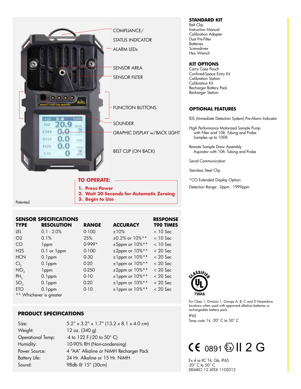

|                  | <b>SENSOR SPECIFICATIONS</b> |              |                          | <b>RESPONSE</b>  |
|------------------|------------------------------|--------------|--------------------------|------------------|
| <b>TYPE</b>      | <b>RESOLUTION</b>            | <b>RANGE</b> | <b>ACCURACY</b>          | <b>T90 TIMES</b> |
| <b>LEL</b>       | $0.1 - 2.0%$                 | $0 - 100$    | ±10%                     | $<$ 10 Sec       |
| O <sub>2</sub>   | 0.1%                         | 25%          | $\pm 0.2\%$ or $10\%$ ** | $<$ 10 Sec       |
| CO <sub>1</sub>  | 1 <sub>ppm</sub>             | $0.999*$     | ±5ppm or 10%**           | $<$ 10 Sec       |
| H <sub>2</sub> S | 0.1 or 1ppm                  | $0 - 100$    | $\pm 2$ ppm or $10\%$ ** | $< 20$ Sec       |
| <b>HCN</b>       | $0.1$ ppm                    | $0 - 30$     | $±1$ ppm or $10\%**$     | $< 20$ Sec       |
| Cl <sub>2</sub>  | $0.1$ ppm                    | $0-20$       | $±1$ ppm or $10\%**$     | $<$ 20 Sec       |
| NO <sub>2</sub>  | 1 <sub>ppm</sub>             | $0-250$      | $\pm 2$ ppm or $10\%$ ** | $< 20$ Sec       |
| $PH_2$           | $0.1$ ppm                    | $0 - 10$     | $±1$ ppm or $10\%**$     | $< 20$ Sec       |
| SO <sub>2</sub>  | $0.1$ ppm                    | $0-20$       | $±1$ ppm or $10\%**$     | $< 20$ Sec       |
| <b>ETO</b>       | $0.1$ ppm                    | $0 - 10$     | $±1$ ppm or $10\%**$     | $< 20$ Sec       |
|                  | ** Whichever is greater      |              |                          |                  |

# **PRODUCT SPECIFICATIONS**

| Size:                    | $5.2'' \times 3.2'' \times 1.7''$ (13.2 x 8.1 x 4.0 cm) |  |  |
|--------------------------|---------------------------------------------------------|--|--|
| Weight:                  | 12 oz. (340 g)                                          |  |  |
| <b>Operational Temp:</b> | -4 to 122 F (-20 to 50° C)                              |  |  |
| Humidity:                | 10-90% RH (Non-condensing)                              |  |  |
| Power Source:            | 4 "AA" Alkaline or NiMH Recharger Pack                  |  |  |
| Battery Life:            | 24 Hr. Alkaline or 15 Hr. NiMH                          |  |  |
| Sound:                   | 98db @ 15" (30cm)                                       |  |  |

**STANDARD KIT** Belt Clip Instruction Manual Calibration Adapter Dust Pre-Filter **Batteries Screwdriver** Hex Wrench

### **KIT OPTIONS**

Carry Case Pouch Confined-Space Entry Kit Calibration Station Calibration Kit Recharger Battery Pack Recharger Station

### **OPTIONAL FEATURES**

IDS (Immediate Detection System) Pre-Alarm Indicator

High Performance Motorized Sample Pump with Filter and 10ft. Tubing and Probe Samples up to 100ft.

Remote Sample Draw Assembly Aspirator with 10ft. Tubing and Probe

Serial Communication

Stainless Steel Clip

\*CO Extended Display Option:

Detection Range: 0ppm - 1999ppm



For Class 1, Division 1, Groups A, B, C and D Hazardous locations when used with approved alkaline batteries or rechargeable battery pack.

IP65

Temp code: T4, -20° C to 50° C

# $CE$  0891  $\&$  II 2 G

Ex d ia IIC T4, Gb, IP65 -20° C to 50° C DEMKO 12 ATEX 1102012